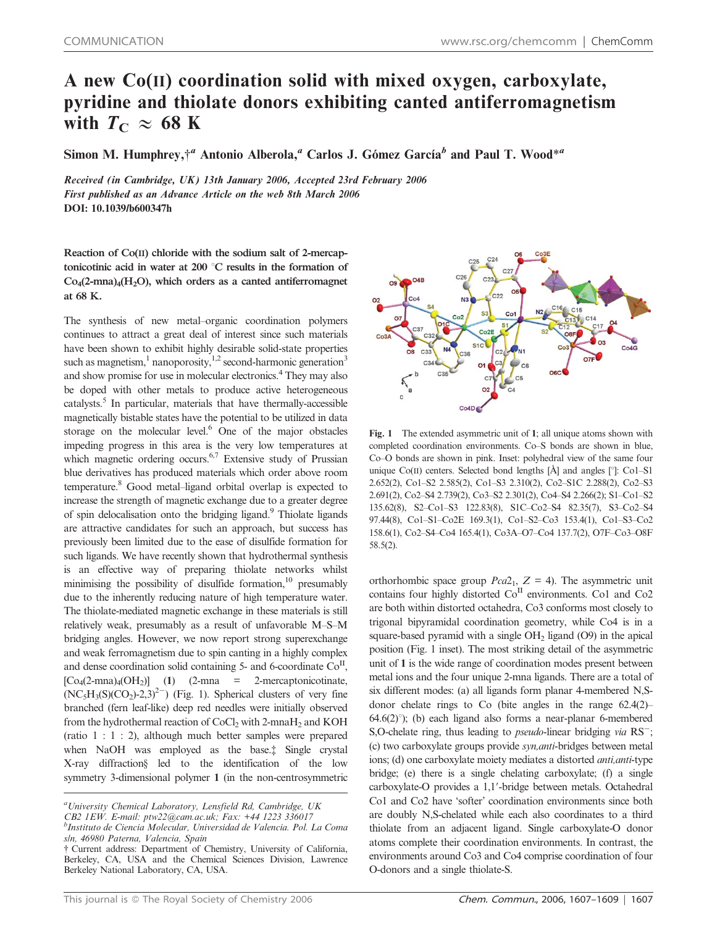## A new Co(II) coordination solid with mixed oxygen, carboxylate, pyridine and thiolate donors exhibiting canted antiferromagnetism with  $T_{\rm C} \approx 68$  K

Simon M. Humphrey, $\dot{\tau}^a$  Antonio Alberola,<sup>a</sup> Carlos J. Gómez García<sup>b</sup> and Paul T. Wood<sup>\*a</sup>

Received (in Cambridge, UK) 13th January 2006, Accepted 23rd February 2006 First published as an Advance Article on the web 8th March 2006 DOI: 10.1039/b600347h

Reaction of Co(II) chloride with the sodium salt of 2-mercaptonicotinic acid in water at  $200\degree C$  results in the formation of  $Co<sub>4</sub>(2-mna)<sub>4</sub>(H<sub>2</sub>O)$ , which orders as a canted antiferromagnet at 68 K.

The synthesis of new metal–organic coordination polymers continues to attract a great deal of interest since such materials have been shown to exhibit highly desirable solid-state properties such as magnetism, $\frac{1}{1}$  nanoporosity, $\frac{1}{2}$  second-harmonic generation<sup>3</sup> and show promise for use in molecular electronics.4 They may also be doped with other metals to produce active heterogeneous  $catalysts.<sup>5</sup>$  In particular, materials that have thermally-accessible magnetically bistable states have the potential to be utilized in data storage on the molecular level.<sup>6</sup> One of the major obstacles impeding progress in this area is the very low temperatures at which magnetic ordering occurs.<sup>6,7</sup> Extensive study of Prussian blue derivatives has produced materials which order above room temperature.8 Good metal–ligand orbital overlap is expected to increase the strength of magnetic exchange due to a greater degree of spin delocalisation onto the bridging ligand.<sup>9</sup> Thiolate ligands are attractive candidates for such an approach, but success has previously been limited due to the ease of disulfide formation for such ligands. We have recently shown that hydrothermal synthesis is an effective way of preparing thiolate networks whilst minimising the possibility of disulfide formation,<sup>10</sup> presumably due to the inherently reducing nature of high temperature water. The thiolate-mediated magnetic exchange in these materials is still relatively weak, presumably as a result of unfavorable M–S–M bridging angles. However, we now report strong superexchange and weak ferromagnetism due to spin canting in a highly complex and dense coordination solid containing 5- and 6-coordinate  $Co<sup>H</sup>$ ,  $[Co_4(2-mna)_4(OH_2)]$  (1) (2-mna = 2-mercaptonicotinate,  $(NC_5H_3(S)(CO_2)-2,3)^{2}$  (Fig. 1). Spherical clusters of very fine branched (fern leaf-like) deep red needles were initially observed from the hydrothermal reaction of CoCl<sub>2</sub> with 2-mnaH<sub>2</sub> and KOH (ratio 1 : 1 : 2), although much better samples were prepared when NaOH was employed as the base.<sup>†</sup> Single crystal X-ray diffraction§ led to the identification of the low symmetry 3-dimensional polymer 1 (in the non-centrosymmetric

<sup>a</sup>University Chemical Laboratory, Lensfield Rd, Cambridge, UK CB2 1EW. E-mail: ptw22@cam.ac.uk; Fax: +44 1223 336017 b Instituto de Ciencia Molecular, Universidad de Valencia. Pol. La Coma s/n, 46980 Paterna, Valencia, Spain



Fig. 1 The extended asymmetric unit of 1; all unique atoms shown with completed coordination environments. Co–S bonds are shown in blue, Co–O bonds are shown in pink. Inset: polyhedral view of the same four unique Co(II) centers. Selected bond lengths [Å] and angles [°]: Co1-S1 2.652(2), Co1–S2 2.585(2), Co1–S3 2.310(2), Co2–S1C 2.288(2), Co2–S3 2.691(2), Co2–S4 2.739(2), Co3–S2 2.301(2), Co4–S4 2.266(2); S1–Co1–S2 135.62(8), S2–Co1–S3 122.83(8), S1C–Co2–S4 82.35(7), S3–Co2–S4 97.44(8), Co1–S1–Co2E 169.3(1), Co1–S2–Co3 153.4(1), Co1–S3–Co2 158.6(1), Co2–S4–Co4 165.4(1), Co3A–O7–Co4 137.7(2), O7F–Co3–O8F 58.5(2).

orthorhombic space group  $Pca2_1$ ,  $Z = 4$ ). The asymmetric unit contains four highly distorted  $Co<sup>H</sup>$  environments. Co1 and Co2 are both within distorted octahedra, Co3 conforms most closely to trigonal bipyramidal coordination geometry, while Co4 is in a square-based pyramid with a single OH<sub>2</sub> ligand (O9) in the apical position (Fig. 1 inset). The most striking detail of the asymmetric unit of 1 is the wide range of coordination modes present between metal ions and the four unique 2-mna ligands. There are a total of six different modes: (a) all ligands form planar 4-membered N,Sdonor chelate rings to Co (bite angles in the range 62.4(2)–  $64.6(2)^\circ$ ; (b) each ligand also forms a near-planar 6-membered S,O-chelate ring, thus leading to *pseudo*-linear bridging via  $RS^-$ ; (c) two carboxylate groups provide syn,anti-bridges between metal ions; (d) one carboxylate moiety mediates a distorted *anti*, *anti*-type bridge; (e) there is a single chelating carboxylate; (f) a single carboxylate-O provides a 1,1'-bridge between metals. Octahedral Co1 and Co2 have 'softer' coordination environments since both are doubly N,S-chelated while each also coordinates to a third thiolate from an adjacent ligand. Single carboxylate-O donor atoms complete their coordination environments. In contrast, the environments around Co3 and Co4 comprise coordination of four O-donors and a single thiolate-S.

<sup>{</sup> Current address: Department of Chemistry, University of California, Berkeley, CA, USA and the Chemical Sciences Division, Lawrence Berkeley National Laboratory, CA, USA.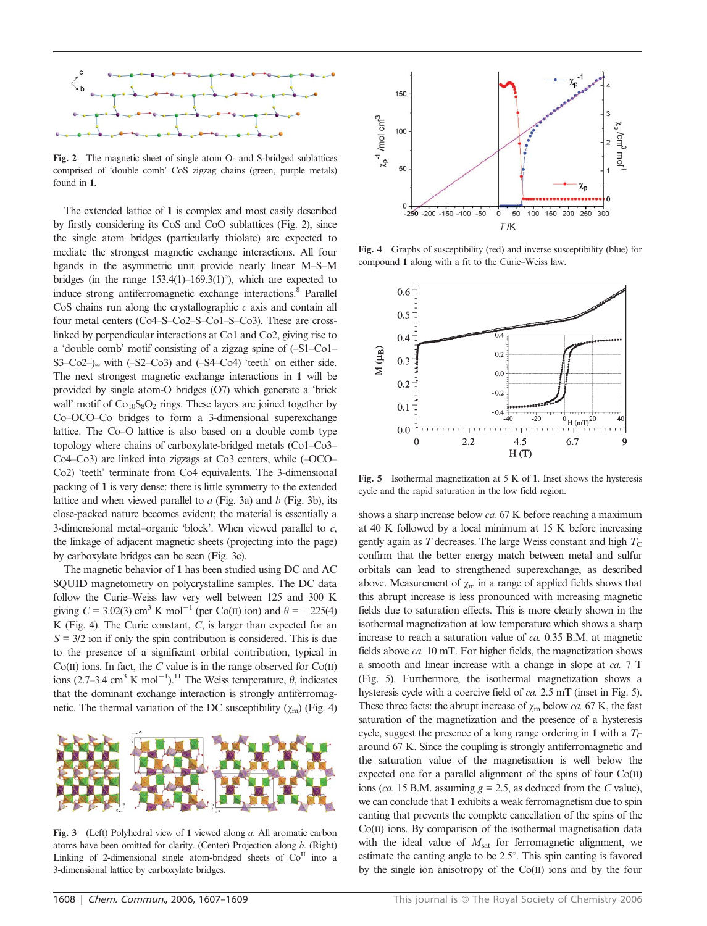

Fig. 2 The magnetic sheet of single atom O- and S-bridged sublattices comprised of 'double comb' CoS zigzag chains (green, purple metals) found in 1.

The extended lattice of 1 is complex and most easily described by firstly considering its CoS and CoO sublattices (Fig. 2), since the single atom bridges (particularly thiolate) are expected to mediate the strongest magnetic exchange interactions. All four ligands in the asymmetric unit provide nearly linear M–S–M bridges (in the range  $153.4(1)$ –169.3(1)°), which are expected to induce strong antiferromagnetic exchange interactions.<sup>8</sup> Parallel  $CoS$  chains run along the crystallographic  $c$  axis and contain all four metal centers (Co4–S–Co2–S–Co1–S–Co3). These are crosslinked by perpendicular interactions at Co1 and Co2, giving rise to a 'double comb' motif consisting of a zigzag spine of (–S1–Co1– S3–Co2–) $_{\infty}$  with (–S2–Co3) and (–S4–Co4) 'teeth' on either side. The next strongest magnetic exchange interactions in 1 will be provided by single atom-O bridges (O7) which generate a 'brick wall' motif of  $Co<sub>10</sub>S<sub>8</sub>O<sub>2</sub>$  rings. These layers are joined together by Co–OCO–Co bridges to form a 3-dimensional superexchange lattice. The Co–O lattice is also based on a double comb type topology where chains of carboxylate-bridged metals (Co1–Co3– Co4–Co3) are linked into zigzags at Co3 centers, while (–OCO– Co2) 'teeth' terminate from Co4 equivalents. The 3-dimensional packing of 1 is very dense: there is little symmetry to the extended lattice and when viewed parallel to  $a$  (Fig. 3a) and  $b$  (Fig. 3b), its close-packed nature becomes evident; the material is essentially a 3-dimensional metal–organic 'block'. When viewed parallel to  $c$ , the linkage of adjacent magnetic sheets (projecting into the page) by carboxylate bridges can be seen (Fig. 3c).

The magnetic behavior of 1 has been studied using DC and AC SQUID magnetometry on polycrystalline samples. The DC data follow the Curie–Weiss law very well between 125 and 300 K giving  $C = 3.02(3)$  cm<sup>3</sup> K mol<sup>-1</sup> (per Co(II) ion) and  $\theta = -225(4)$ K (Fig. 4). The Curie constant,  $C$ , is larger than expected for an  $S = 3/2$  ion if only the spin contribution is considered. This is due to the presence of a significant orbital contribution, typical in  $Co(II)$  ions. In fact, the C value is in the range observed for  $Co(II)$ ions (2.7–3.4 cm<sup>3</sup> K mol<sup>-1</sup>).<sup>11</sup> The Weiss temperature,  $\theta$ , indicates that the dominant exchange interaction is strongly antiferromagnetic. The thermal variation of the DC susceptibility  $(\chi_m)$  (Fig. 4)



Fig. 3 (Left) Polyhedral view of 1 viewed along a. All aromatic carbon atoms have been omitted for clarity. (Center) Projection along b. (Right) Linking of 2-dimensional single atom-bridged sheets of  $Co<sup>H</sup>$  into a 3-dimensional lattice by carboxylate bridges.



Fig. 4 Graphs of susceptibility (red) and inverse susceptibility (blue) for compound 1 along with a fit to the Curie–Weiss law.



Fig. 5 Isothermal magnetization at 5 K of 1. Inset shows the hysteresis cycle and the rapid saturation in the low field region.

shows a sharp increase below ca. 67 K before reaching a maximum at 40 K followed by a local minimum at 15 K before increasing gently again as  $T$  decreases. The large Weiss constant and high  $T_{\rm C}$ confirm that the better energy match between metal and sulfur orbitals can lead to strengthened superexchange, as described above. Measurement of  $\chi$ <sub>m</sub> in a range of applied fields shows that this abrupt increase is less pronounced with increasing magnetic fields due to saturation effects. This is more clearly shown in the isothermal magnetization at low temperature which shows a sharp increase to reach a saturation value of ca. 0.35 B.M. at magnetic fields above ca. 10 mT. For higher fields, the magnetization shows a smooth and linear increase with a change in slope at ca. 7 T (Fig. 5). Furthermore, the isothermal magnetization shows a hysteresis cycle with a coercive field of ca. 2.5 mT (inset in Fig. 5). These three facts: the abrupt increase of  $\chi_{\rm m}$  below *ca*. 67 K, the fast saturation of the magnetization and the presence of a hysteresis cycle, suggest the presence of a long range ordering in 1 with a  $T_{\rm C}$ around 67 K. Since the coupling is strongly antiferromagnetic and the saturation value of the magnetisation is well below the expected one for a parallel alignment of the spins of four Co(II) ions (ca. 15 B.M. assuming  $g = 2.5$ , as deduced from the C value), we can conclude that 1 exhibits a weak ferromagnetism due to spin canting that prevents the complete cancellation of the spins of the Co(II) ions. By comparison of the isothermal magnetisation data with the ideal value of  $M_{sat}$  for ferromagnetic alignment, we estimate the canting angle to be  $2.5^{\circ}$ . This spin canting is favored by the single ion anisotropy of the Co(II) ions and by the four